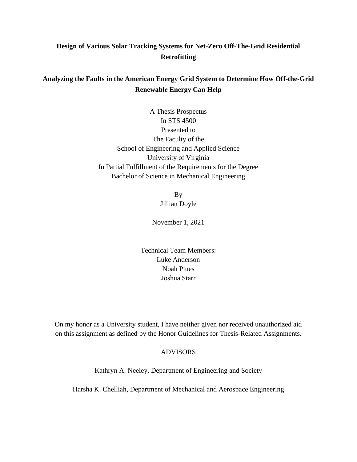## **Design of Various Solar Tracking Systems for Net-Zero Off-The-Grid Residential Retrofitting**

## **Analyzing the Faults in the American Energy Grid System to Determine How Off-the-Grid Renewable Energy Can Help**

A Thesis Prospectus In STS 4500 Presented to The Faculty of the School of Engineering and Applied Science University of Virginia In Partial Fulfillment of the Requirements for the Degree Bachelor of Science in Mechanical Engineering

> By Jillian Doyle

November 1, 2021

Technical Team Members: Luke Anderson Noah Plues Joshua Starr

On my honor as a University student, I have neither given nor received unauthorized aid on this assignment as defined by the Honor Guidelines for Thesis-Related Assignments.

### ADVISORS

Kathryn A. Neeley, Department of Engineering and Society

Harsha K. Chelliah, Department of Mechanical and Aerospace Engineering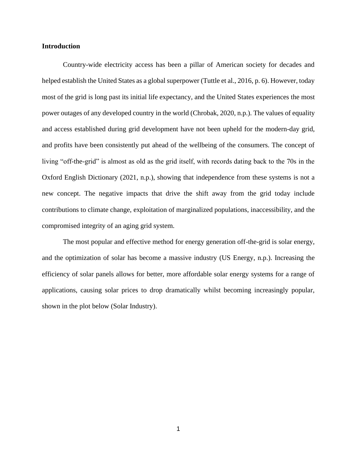#### **Introduction**

Country-wide electricity access has been a pillar of American society for decades and helped establish the United States as a global superpower (Tuttle et al., 2016, p. 6). However, today most of the grid is long past its initial life expectancy, and the United States experiences the most power outages of any developed country in the world (Chrobak, 2020, n.p.). The values of equality and access established during grid development have not been upheld for the modern-day grid, and profits have been consistently put ahead of the wellbeing of the consumers. The concept of living "off-the-grid" is almost as old as the grid itself, with records dating back to the 70s in the Oxford English Dictionary (2021, n.p.), showing that independence from these systems is not a new concept. The negative impacts that drive the shift away from the grid today include contributions to climate change, exploitation of marginalized populations, inaccessibility, and the compromised integrity of an aging grid system.

The most popular and effective method for energy generation off-the-grid is solar energy, and the optimization of solar has become a massive industry (US Energy, n.p.). Increasing the efficiency of solar panels allows for better, more affordable solar energy systems for a range of applications, causing solar prices to drop dramatically whilst becoming increasingly popular, shown in the plot below (Solar Industry).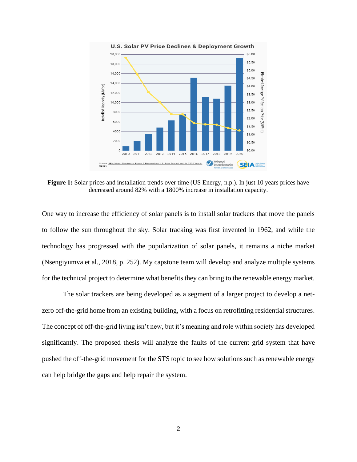

Figure 1: Solar prices and installation trends over time (US Energy, n.p.). In just 10 years prices have decreased around 82% with a 1800% increase in installation capacity.

One way to increase the efficiency of solar panels is to install solar trackers that move the panels to follow the sun throughout the sky. Solar tracking was first invented in 1962, and while the technology has progressed with the popularization of solar panels, it remains a niche market (Nsengiyumva et al., 2018, p. 252). My capstone team will develop and analyze multiple systems for the technical project to determine what benefits they can bring to the renewable energy market.

The solar trackers are being developed as a segment of a larger project to develop a netzero off-the-grid home from an existing building, with a focus on retrofitting residential structures. The concept of off-the-grid living isn't new, but it's meaning and role within society has developed significantly. The proposed thesis will analyze the faults of the current grid system that have pushed the off-the-grid movement for the STS topic to see how solutions such as renewable energy can help bridge the gaps and help repair the system.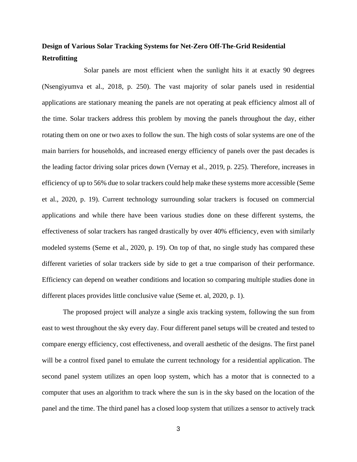# **Design of Various Solar Tracking Systems for Net-Zero Off-The-Grid Residential Retrofitting**

Solar panels are most efficient when the sunlight hits it at exactly 90 degrees (Nsengiyumva et al., 2018, p. 250). The vast majority of solar panels used in residential applications are stationary meaning the panels are not operating at peak efficiency almost all of the time. Solar trackers address this problem by moving the panels throughout the day, either rotating them on one or two axes to follow the sun. The high costs of solar systems are one of the main barriers for households, and increased energy efficiency of panels over the past decades is the leading factor driving solar prices down (Vernay et al., 2019, p. 225). Therefore, increases in efficiency of up to 56% due to solar trackers could help make these systems more accessible (Seme et al., 2020, p. 19). Current technology surrounding solar trackers is focused on commercial applications and while there have been various studies done on these different systems, the effectiveness of solar trackers has ranged drastically by over 40% efficiency, even with similarly modeled systems (Seme et al., 2020, p. 19). On top of that, no single study has compared these different varieties of solar trackers side by side to get a true comparison of their performance. Efficiency can depend on weather conditions and location so comparing multiple studies done in different places provides little conclusive value (Seme et. al, 2020, p. 1).

The proposed project will analyze a single axis tracking system, following the sun from east to west throughout the sky every day. Four different panel setups will be created and tested to compare energy efficiency, cost effectiveness, and overall aesthetic of the designs. The first panel will be a control fixed panel to emulate the current technology for a residential application. The second panel system utilizes an open loop system, which has a motor that is connected to a computer that uses an algorithm to track where the sun is in the sky based on the location of the panel and the time. The third panel has a closed loop system that utilizes a sensor to actively track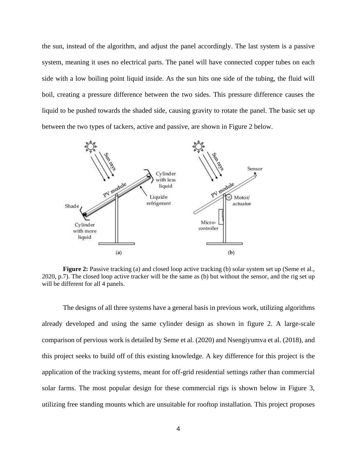the sun, instead of the algorithm, and adjust the panel accordingly. The last system is a passive system, meaning it uses no electrical parts. The panel will have connected copper tubes on each side with a low boiling point liquid inside. As the sun hits one side of the tubing, the fluid will boil, creating a pressure difference between the two sides. This pressure difference causes the liquid to be pushed towards the shaded side, causing gravity to rotate the panel. The basic set up between the two types of tackers, active and passive, are shown in Figure 2 below.



**Figure 2:** Passive tracking (a) and closed loop active tracking (b) solar system set up (Seme et al., 2020, p.7). The closed loop active tracker will be the same as (b) but without the sensor, and the rig set up will be different for all 4 panels.

The designs of all three systems have a general basis in previous work, utilizing algorithms already developed and using the same cylinder design as shown in figure 2. A large-scale comparison of pervious work is detailed by Seme et al. (2020) and Nsengiyumva et al. (2018), and this project seeks to build off of this existing knowledge. A key difference for this project is the application of the tracking systems, meant for off-grid residential settings rather than commercial solar farms. The most popular design for these commercial rigs is shown below in Figure 3, utilizing free standing mounts which are unsuitable for rooftop installation. This project proposes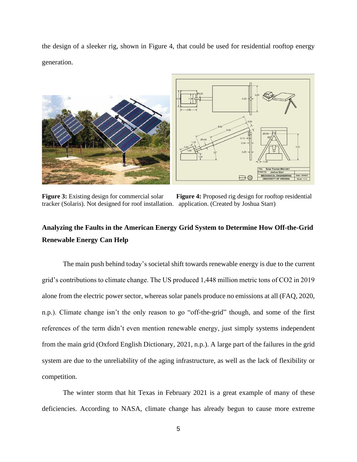the design of a sleeker rig, shown in Figure 4, that could be used for residential rooftop energy generation.



**Figure** 3: Existing design for commercial solar **Figure** 4: Proposed rig design for rooftop residential tracker (Solaris). Not designed for roof installation. application. (Created by Joshua Starr)

# **Analyzing the Faults in the American Energy Grid System to Determine How Off-the-Grid Renewable Energy Can Help**

The main push behind today's societal shift towards renewable energy is due to the current grid's contributions to climate change. The US produced 1,448 million metric tons of CO2 in 2019 alone from the electric power sector, whereas solar panels produce no emissions at all (FAQ, 2020, n.p.). Climate change isn't the only reason to go "off-the-grid" though, and some of the first references of the term didn't even mention renewable energy, just simply systems independent from the main grid (Oxford English Dictionary, 2021, n.p.). A large part of the failures in the grid system are due to the unreliability of the aging infrastructure, as well as the lack of flexibility or competition.

The winter storm that hit Texas in February 2021 is a great example of many of these deficiencies. According to NASA, climate change has already begun to cause more extreme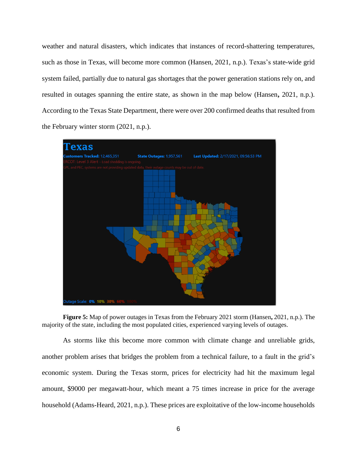weather and natural disasters, which indicates that instances of record-shattering temperatures, such as those in Texas, will become more common (Hansen, 2021, n.p.). Texas's state-wide grid system failed, partially due to natural gas shortages that the power generation stations rely on, and resulted in outages spanning the entire state, as shown in the map below (Hansen**,** 2021, n.p.). According to the Texas State Department, there were over 200 confirmed deaths that resulted from the February winter storm (2021, n.p.).



**Figure 5:** Map of power outages in Texas from the February 2021 storm (Hansen**,** 2021, n.p.). The majority of the state, including the most populated cities, experienced varying levels of outages.

As storms like this become more common with climate change and unreliable grids, another problem arises that bridges the problem from a technical failure, to a fault in the grid's economic system. During the Texas storm, prices for electricity had hit the maximum legal amount, \$9000 per megawatt-hour, which meant a 75 times increase in price for the average household (Adams-Heard, 2021, n.p.). These prices are exploitative of the low-income households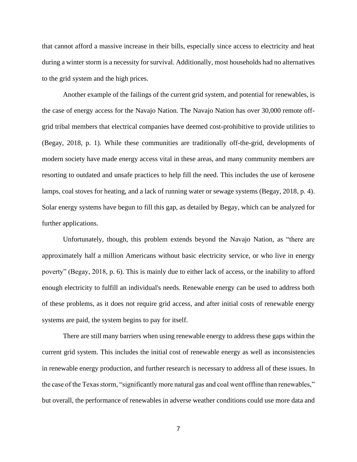that cannot afford a massive increase in their bills, especially since access to electricity and heat during a winter storm is a necessity for survival. Additionally, most households had no alternatives to the grid system and the high prices.

Another example of the failings of the current grid system, and potential for renewables, is the case of energy access for the Navajo Nation. The Navajo Nation has over 30,000 remote offgrid tribal members that electrical companies have deemed cost-prohibitive to provide utilities to (Begay, 2018, p. 1). While these communities are traditionally off-the-grid, developments of modern society have made energy access vital in these areas, and many community members are resorting to outdated and unsafe practices to help fill the need. This includes the use of kerosene lamps, coal stoves for heating, and a lack of running water or sewage systems (Begay, 2018, p. 4). Solar energy systems have begun to fill this gap, as detailed by Begay, which can be analyzed for further applications.

Unfortunately, though, this problem extends beyond the Navajo Nation, as "there are approximately half a million Americans without basic electricity service, or who live in energy poverty" (Begay, 2018, p. 6). This is mainly due to either lack of access, or the inability to afford enough electricity to fulfill an individual's needs. Renewable energy can be used to address both of these problems, as it does not require grid access, and after initial costs of renewable energy systems are paid, the system begins to pay for itself.

There are still many barriers when using renewable energy to address these gaps within the current grid system. This includes the initial cost of renewable energy as well as inconsistencies in renewable energy production, and further research is necessary to address all of these issues. In the case of the Texas storm, "significantly more natural gas and coal went offline than renewables," but overall, the performance of renewables in adverse weather conditions could use more data and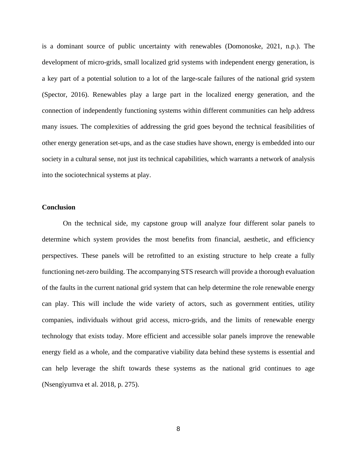is a dominant source of public uncertainty with renewables (Domonoske, 2021, n.p.). The development of micro-grids, small localized grid systems with independent energy generation, is a key part of a potential solution to a lot of the large-scale failures of the national grid system (Spector, 2016). Renewables play a large part in the localized energy generation, and the connection of independently functioning systems within different communities can help address many issues. The complexities of addressing the grid goes beyond the technical feasibilities of other energy generation set-ups, and as the case studies have shown, energy is embedded into our society in a cultural sense, not just its technical capabilities, which warrants a network of analysis into the sociotechnical systems at play.

#### **Conclusion**

On the technical side, my capstone group will analyze four different solar panels to determine which system provides the most benefits from financial, aesthetic, and efficiency perspectives. These panels will be retrofitted to an existing structure to help create a fully functioning net-zero building. The accompanying STS research will provide a thorough evaluation of the faults in the current national grid system that can help determine the role renewable energy can play. This will include the wide variety of actors, such as government entities, utility companies, individuals without grid access, micro-grids, and the limits of renewable energy technology that exists today. More efficient and accessible solar panels improve the renewable energy field as a whole, and the comparative viability data behind these systems is essential and can help leverage the shift towards these systems as the national grid continues to age (Nsengiyumva et al. 2018, p. 275).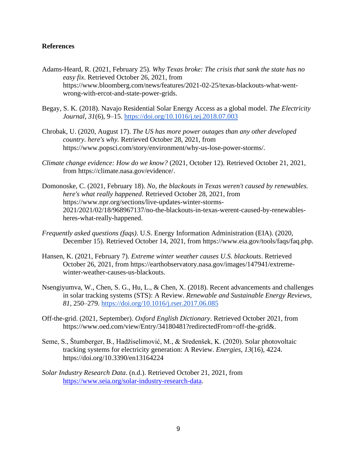### **References**

- Adams-Heard, R. (2021, February 25). *Why Texas broke: The crisis that sank the state has no easy fix*. Retrieved October 26, 2021, from https://www.bloomberg.com/news/features/2021-02-25/texas-blackouts-what-wentwrong-with-ercot-and-state-power-grids.
- Begay, S. K. (2018). Navajo Residential Solar Energy Access as a global model. *The Electricity Journal*, *31*(6), 9–15.<https://doi.org/10.1016/j.tej.2018.07.003>
- Chrobak, U. (2020, August 17). *The US has more power outages than any other developed country. here's why.* Retrieved October 28, 2021, from https://www.popsci.com/story/environment/why-us-lose-power-storms/.
- *Climate change evidence: How do we know?* (2021, October 12). Retrieved October 21, 2021, from https://climate.nasa.gov/evidence/.
- Domonoske, C. (2021, February 18). *No, the blackouts in Texas weren't caused by renewables. here's what really happened*. Retrieved October 28, 2021, from https://www.npr.org/sections/live-updates-winter-storms-2021/2021/02/18/968967137/no-the-blackouts-in-texas-werent-caused-by-renewablesheres-what-really-happened.
- *Frequently asked questions (faqs)*. U.S. Energy Information Administration (EIA). (2020, December 15). Retrieved October 14, 2021, from https://www.eia.gov/tools/faqs/faq.php.
- Hansen, K. (2021, February 7). *Extreme winter weather causes U.S. blackouts*. Retrieved October 26, 2021, from https://earthobservatory.nasa.gov/images/147941/extremewinter-weather-causes-us-blackouts.
- Nsengiyumva, W., Chen, S. G., Hu, L., & Chen, X. (2018). Recent advancements and challenges in solar tracking systems (STS): A Review. *Renewable and Sustainable Energy Reviews*, *81*, 250–279.<https://doi.org/10.1016/j.rser.2017.06.085>
- Off-the-grid. (2021, September). *Oxford English Dictionary*. Retrieved October 2021, from https://www.oed.com/view/Entry/34180481?redirectedFrom=off-the-grid&.
- Seme, S., Štumberger, B., Hadžiselimović, M., & Sredenšek, K. (2020). Solar photovoltaic tracking systems for electricity generation: A Review. *Energies*, *13*(16), 4224. https://doi.org/10.3390/en13164224
- *Solar Industry Research Data*. (n.d.). Retrieved October 21, 2021, from [https://www.seia.org/solar-industry-research-data.](https://www.seia.org/solar-industry-research-data)